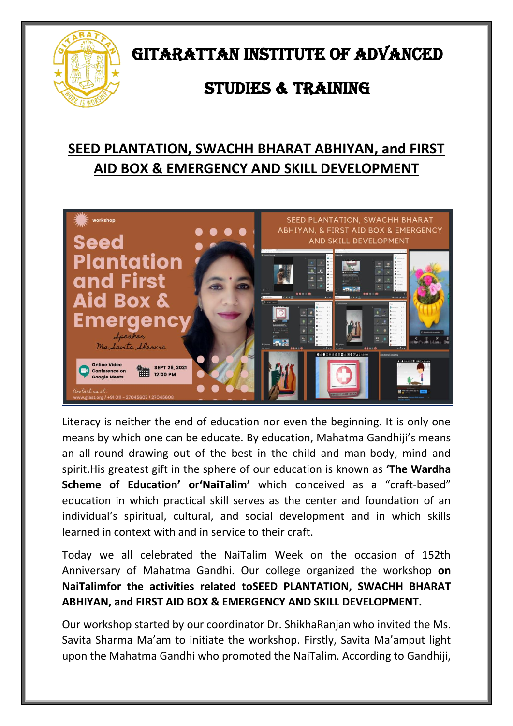

GITARATTAN INSTITUTE OF ADVANCED

## STUDIES & TRAINING

## **SEED PLANTATION, SWACHH BHARAT ABHIYAN, and FIRST AID BOX & EMERGENCY AND SKILL DEVELOPMENT**



Literacy is neither the end of education nor even the beginning. It is only one means by which one can be educate. By education, Mahatma Gandhiji's means an all-round drawing out of the best in the child and man-body, mind and spirit.His greatest gift in the sphere of our education is known as **'The Wardha Scheme of Education' or'NaiTalim'** which conceived as a "craft-based" education in which practical skill serves as the center and foundation of an individual's spiritual, cultural, and social development and in which skills learned in context with and in service to their craft.

Today we all celebrated the NaiTalim Week on the occasion of 152th Anniversary of Mahatma Gandhi. Our college organized the workshop **on NaiTalimfor the activities related toSEED PLANTATION, SWACHH BHARAT ABHIYAN, and FIRST AID BOX & EMERGENCY AND SKILL DEVELOPMENT.** 

Our workshop started by our coordinator Dr. ShikhaRanjan who invited the Ms. Savita Sharma Ma'am to initiate the workshop. Firstly, Savita Ma'amput light upon the Mahatma Gandhi who promoted the NaiTalim. According to Gandhiji,